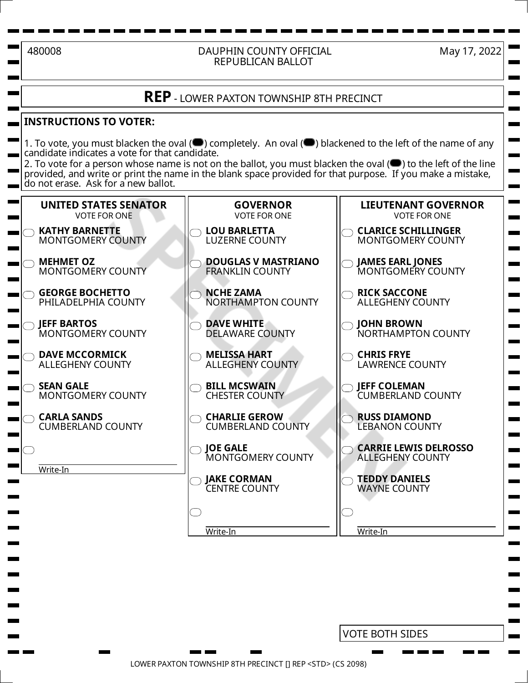## 480008 DAUPHIN COUNTY OFFICIAL REPUBLICAN BALLOT

May 17, 2022

## **REP** - LOWER PAXTON TOWNSHIP 8TH PRECINCT

## **INSTRUCTIONS TO VOTER:**

1. To vote, you must blacken the oval (●) completely. An oval (●) blackened to the left of the name of any candidate indicates a vote for that candidate.

2. To vote for a person whose name is not on the ballot, you must blacken the oval  $($ **)** to the left of the line provided, and write or print the name in the blank space provided for that purpose. If you make a mistake, do not erase. Ask for a new ballot.



VOTE BOTH SIDES